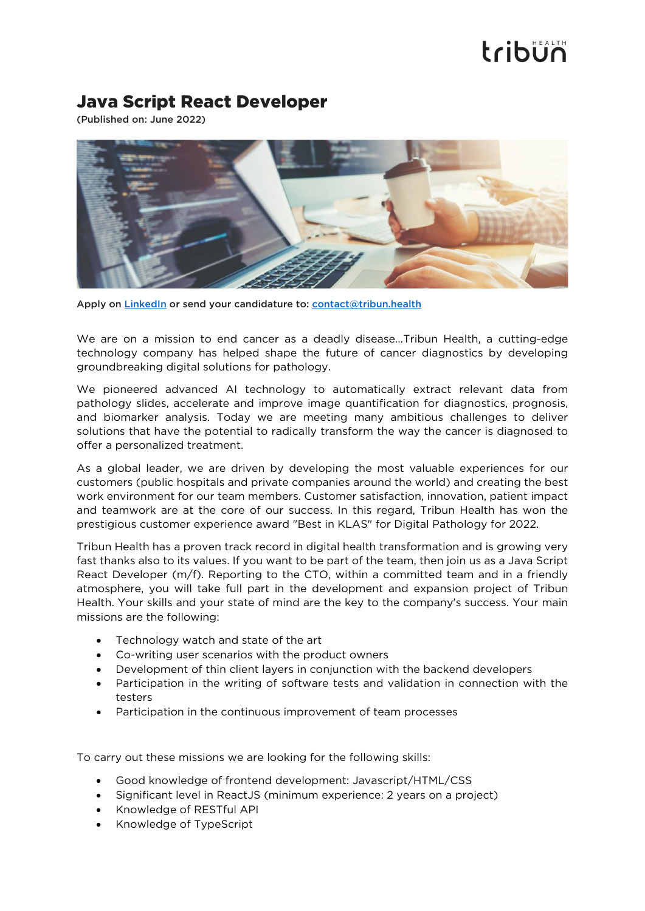## tribun

## Java Script React Developer

(Published on: June 2022)



Apply on [LinkedIn](https://www.linkedin.com/company/tribun-health/) or send your candidature to: [contact@tribun.health](mailto:contact@tribun.health)

We are on a mission to end cancer as a deadly disease…Tribun Health, a cutting-edge technology company has helped shape the future of cancer diagnostics by developing groundbreaking digital solutions for pathology.

We pioneered advanced AI technology to automatically extract relevant data from pathology slides, accelerate and improve image quantification for diagnostics, prognosis, and biomarker analysis. Today we are meeting many ambitious challenges to deliver solutions that have the potential to radically transform the way the cancer is diagnosed to offer a personalized treatment.

As a global leader, we are driven by developing the most valuable experiences for our customers (public hospitals and private companies around the world) and creating the best work environment for our team members. Customer satisfaction, innovation, patient impact and teamwork are at the core of our success. In this regard, Tribun Health has won the prestigious customer experience award "Best in KLAS" for Digital Pathology for 2022.

Tribun Health has a proven track record in digital health transformation and is growing very fast thanks also to its values. If you want to be part of the team, then join us as a Java Script React Developer (m/f). Reporting to the CTO, within a committed team and in a friendly atmosphere, you will take full part in the development and expansion project of Tribun Health. Your skills and your state of mind are the key to the company's success. Your main missions are the following:

- Technology watch and state of the art
- Co-writing user scenarios with the product owners
- Development of thin client layers in conjunction with the backend developers
- Participation in the writing of software tests and validation in connection with the testers
- Participation in the continuous improvement of team processes

To carry out these missions we are looking for the following skills:

- Good knowledge of frontend development: Javascript/HTML/CSS
- Significant level in ReactJS (minimum experience: 2 years on a project)
- Knowledge of RESTful API
- Knowledge of TypeScript